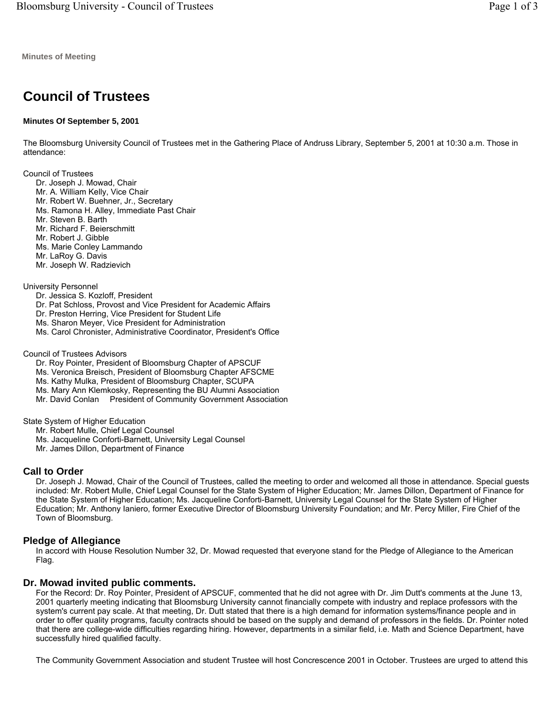**Minutes of Meeting** 

# **Council of Trustees**

## **Minutes Of September 5, 2001**

The Bloomsburg University Council of Trustees met in the Gathering Place of Andruss Library, September 5, 2001 at 10:30 a.m. Those in attendance:

Council of Trustees

- Dr. Joseph J. Mowad, Chair
- Mr. A. William Kelly, Vice Chair
- Mr. Robert W. Buehner, Jr., Secretary
- Ms. Ramona H. Alley, Immediate Past Chair
- Mr. Steven B. Barth
- Mr. Richard F. Beierschmitt
- Mr. Robert J. Gibble
- Ms. Marie Conley Lammando Mr. LaRoy G. Davis
- Mr. Joseph W. Radzievich

## University Personnel

- Dr. Jessica S. Kozloff, President
- Dr. Pat Schloss, Provost and Vice President for Academic Affairs
- Dr. Preston Herring, Vice President for Student Life
- Ms. Sharon Meyer, Vice President for Administration
- Ms. Carol Chronister, Administrative Coordinator, President's Office

#### Council of Trustees Advisors

- Dr. Roy Pointer, President of Bloomsburg Chapter of APSCUF
- Ms. Veronica Breisch, President of Bloomsburg Chapter AFSCME
- Ms. Kathy Mulka, President of Bloomsburg Chapter, SCUPA
- Ms. Mary Ann Klemkosky, Representing the BU Alumni Association
- Mr. David Conlan President of Community Government Association

State System of Higher Education

- Mr. Robert Mulle, Chief Legal Counsel
- Ms. Jacqueline Conforti-Barnett, University Legal Counsel
- Mr. James Dillon, Department of Finance

# **Call to Order**

Dr. Joseph J. Mowad, Chair of the Council of Trustees, called the meeting to order and welcomed all those in attendance. Special guests included: Mr. Robert Mulle, Chief Legal Counsel for the State System of Higher Education; Mr. James Dillon, Department of Finance for the State System of Higher Education; Ms. Jacqueline Conforti-Barnett, University Legal Counsel for the State System of Higher Education; Mr. Anthony Ianiero, former Executive Director of Bloomsburg University Foundation; and Mr. Percy Miller, Fire Chief of the Town of Bloomsburg.

# **Pledge of Allegiance**

In accord with House Resolution Number 32, Dr. Mowad requested that everyone stand for the Pledge of Allegiance to the American Flag.

# **Dr. Mowad invited public comments.**

For the Record: Dr. Roy Pointer, President of APSCUF, commented that he did not agree with Dr. Jim Dutt's comments at the June 13, 2001 quarterly meeting indicating that Bloomsburg University cannot financially compete with industry and replace professors with the system's current pay scale. At that meeting, Dr. Dutt stated that there is a high demand for information systems/finance people and in order to offer quality programs, faculty contracts should be based on the supply and demand of professors in the fields. Dr. Pointer noted that there are college-wide difficulties regarding hiring. However, departments in a similar field, i.e. Math and Science Department, have successfully hired qualified faculty.

The Community Government Association and student Trustee will host Concrescence 2001 in October. Trustees are urged to attend this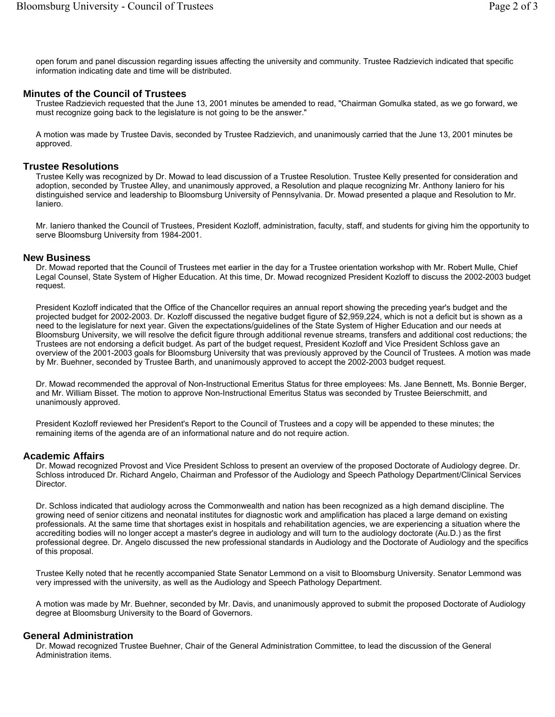open forum and panel discussion regarding issues affecting the university and community. Trustee Radzievich indicated that specific information indicating date and time will be distributed.

#### **Minutes of the Council of Trustees**

Trustee Radzievich requested that the June 13, 2001 minutes be amended to read, "Chairman Gomulka stated, as we go forward, we must recognize going back to the legislature is not going to be the answer."

A motion was made by Trustee Davis, seconded by Trustee Radzievich, and unanimously carried that the June 13, 2001 minutes be approved.

## **Trustee Resolutions**

Trustee Kelly was recognized by Dr. Mowad to lead discussion of a Trustee Resolution. Trustee Kelly presented for consideration and adoption, seconded by Trustee Alley, and unanimously approved, a Resolution and plaque recognizing Mr. Anthony Ianiero for his distinguished service and leadership to Bloomsburg University of Pennsylvania. Dr. Mowad presented a plaque and Resolution to Mr. Ianiero.

Mr. Ianiero thanked the Council of Trustees, President Kozloff, administration, faculty, staff, and students for giving him the opportunity to serve Bloomsburg University from 1984-2001.

#### **New Business**

Dr. Mowad reported that the Council of Trustees met earlier in the day for a Trustee orientation workshop with Mr. Robert Mulle, Chief Legal Counsel, State System of Higher Education. At this time, Dr. Mowad recognized President Kozloff to discuss the 2002-2003 budget request.

President Kozloff indicated that the Office of the Chancellor requires an annual report showing the preceding year's budget and the projected budget for 2002-2003. Dr. Kozloff discussed the negative budget figure of \$2,959,224, which is not a deficit but is shown as a need to the legislature for next year. Given the expectations/guidelines of the State System of Higher Education and our needs at Bloomsburg University, we will resolve the deficit figure through additional revenue streams, transfers and additional cost reductions; the Trustees are not endorsing a deficit budget. As part of the budget request, President Kozloff and Vice President Schloss gave an overview of the 2001-2003 goals for Bloomsburg University that was previously approved by the Council of Trustees. A motion was made by Mr. Buehner, seconded by Trustee Barth, and unanimously approved to accept the 2002-2003 budget request.

Dr. Mowad recommended the approval of Non-Instructional Emeritus Status for three employees: Ms. Jane Bennett, Ms. Bonnie Berger, and Mr. William Bisset. The motion to approve Non-Instructional Emeritus Status was seconded by Trustee Beierschmitt, and unanimously approved.

President Kozloff reviewed her President's Report to the Council of Trustees and a copy will be appended to these minutes; the remaining items of the agenda are of an informational nature and do not require action.

## **Academic Affairs**

Dr. Mowad recognized Provost and Vice President Schloss to present an overview of the proposed Doctorate of Audiology degree. Dr. Schloss introduced Dr. Richard Angelo, Chairman and Professor of the Audiology and Speech Pathology Department/Clinical Services Director.

Dr. Schloss indicated that audiology across the Commonwealth and nation has been recognized as a high demand discipline. The growing need of senior citizens and neonatal institutes for diagnostic work and amplification has placed a large demand on existing professionals. At the same time that shortages exist in hospitals and rehabilitation agencies, we are experiencing a situation where the accrediting bodies will no longer accept a master's degree in audiology and will turn to the audiology doctorate (Au.D.) as the first professional degree. Dr. Angelo discussed the new professional standards in Audiology and the Doctorate of Audiology and the specifics of this proposal.

Trustee Kelly noted that he recently accompanied State Senator Lemmond on a visit to Bloomsburg University. Senator Lemmond was very impressed with the university, as well as the Audiology and Speech Pathology Department.

A motion was made by Mr. Buehner, seconded by Mr. Davis, and unanimously approved to submit the proposed Doctorate of Audiology degree at Bloomsburg University to the Board of Governors.

## **General Administration**

Dr. Mowad recognized Trustee Buehner, Chair of the General Administration Committee, to lead the discussion of the General Administration items.